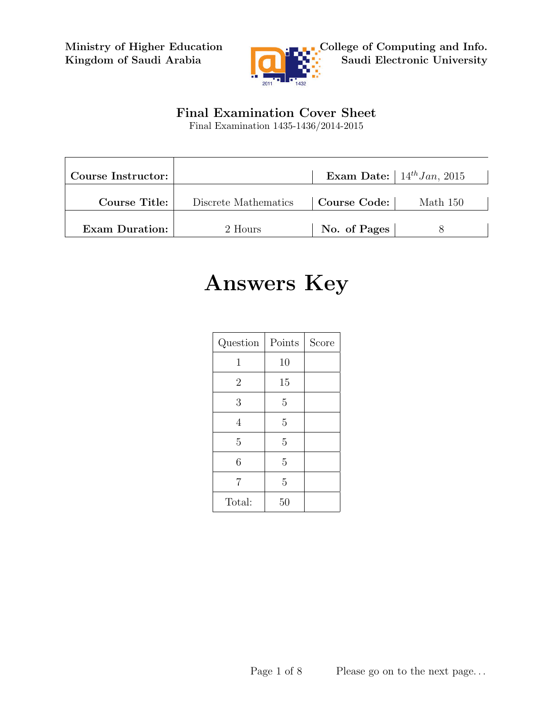Ministry of Higher Education Kingdom of Saudi Arabia



## Final Examination Cover Sheet

Final Examination 1435-1436/2014-2015

| Course Instructor:    |                      |              | Exam Date: $14^{th} Jan$ , 2015 |
|-----------------------|----------------------|--------------|---------------------------------|
| <b>Course Title:</b>  | Discrete Mathematics | Course Code: | Math 150                        |
| <b>Exam Duration:</b> | 2 Hours              | No. of Pages |                                 |

## Answers Key

| Question       | Points | Score |
|----------------|--------|-------|
| 1              | 10     |       |
| $\overline{2}$ | 15     |       |
| 3              | 5      |       |
| 4              | 5      |       |
| 5              | 5      |       |
| 6              | 5      |       |
| $\overline{7}$ | 5      |       |
| Total:         | 50     |       |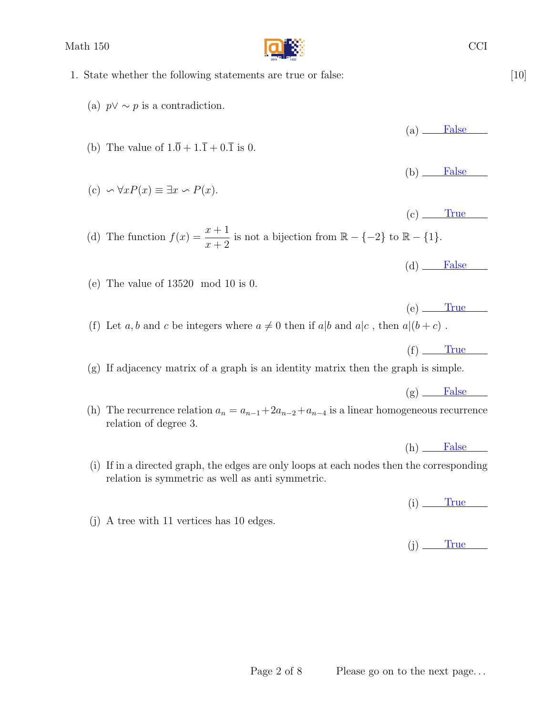Math 150 CCI

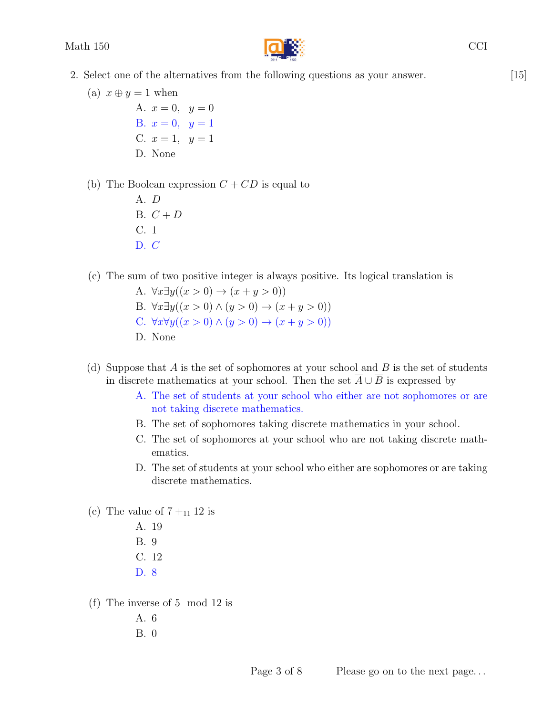

- 2. Select one of the alternatives from the following questions as your answer. [15]
	- (a)  $x \oplus y = 1$  when A.  $x = 0$ ,  $y = 0$ B.  $x = 0, y = 1$ C.  $x = 1$ ,  $y = 1$ D. None
	- (b) The Boolean expression  $C + CD$  is equal to
		- A. D B.  $C+D$ C. 1  $D. C$
	- (c) The sum of two positive integer is always positive. Its logical translation is
		- A.  $\forall x \exists y ((x > 0) \rightarrow (x + y > 0))$ B.  $\forall x \exists y ((x > 0) \land (y > 0) \rightarrow (x + y > 0))$ C.  $\forall x \forall y ((x > 0) \land (y > 0) \rightarrow (x + y > 0))$ D. None
	- (d) Suppose that  $A$  is the set of sophomores at your school and  $B$  is the set of students in discrete mathematics at your school. Then the set  $\overline{A} \cup \overline{B}$  is expressed by
		- A. The set of students at your school who either are not sophomores or are not taking discrete mathematics.
		- B. The set of sophomores taking discrete mathematics in your school.
		- C. The set of sophomores at your school who are not taking discrete mathematics.
		- D. The set of students at your school who either are sophomores or are taking discrete mathematics.
	- (e) The value of  $7 +_{11} 12$  is
		- A. 19 B. 9 C. 12 D. 8
	- (f) The inverse of 5 mod 12 is
		- A. 6
		- B. 0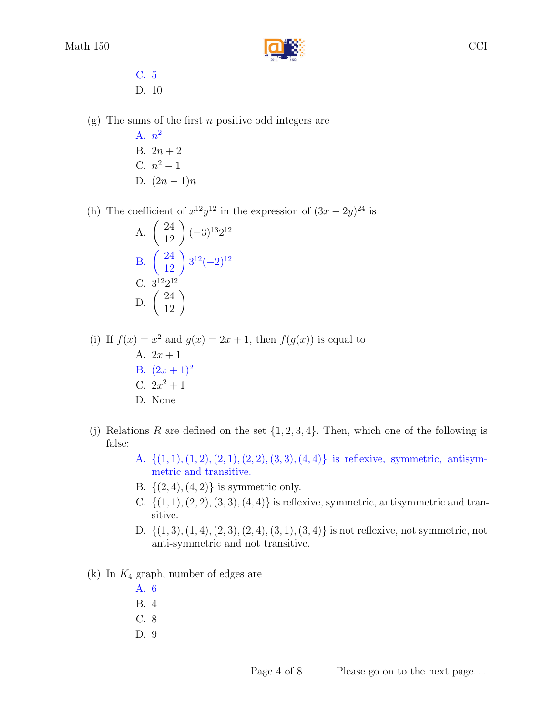

- C. 5 D. 10
- $(g)$  The sums of the first *n* positive odd integers are
	- A.  $n^2$ B.  $2n + 2$ C.  $n^2 - 1$ D.  $(2n-1)n$

(h) The coefficient of  $x^{12}y^{12}$  in the expression of  $(3x - 2y)^{24}$  is

A. 
$$
\begin{pmatrix} 24 \\ 12 \end{pmatrix} (-3)^{13} 2^{12}
$$
  
B.  $\begin{pmatrix} 24 \\ 12 \end{pmatrix} 3^{12} (-2)^{12}$   
C.  $3^{12} 2^{12}$   
D.  $\begin{pmatrix} 24 \\ 12 \end{pmatrix}$ 

(i) If  $f(x) = x^2$  and  $g(x) = 2x + 1$ , then  $f(g(x))$  is equal to A.  $2x + 1$ B.  $(2x+1)^2$ C.  $2x^2 + 1$ D. None

- (j) Relations R are defined on the set  $\{1, 2, 3, 4\}$ . Then, which one of the following is false:
	- A.  $\{(1, 1), (1, 2), (2, 1), (2, 2), (3, 3), (4, 4)\}\$ is reflexive, symmetric, antisymmetric and transitive.
	- B.  $\{(2, 4), (4, 2)\}\$ is symmetric only.
	- C.  $\{(1, 1), (2, 2), (3, 3), (4, 4)\}\$ is reflexive, symmetric, antisymmetric and transitive.
	- D.  $\{(1,3), (1,4), (2,3), (2,4), (3,1), (3,4)\}\$ is not reflexive, not symmetric, not anti-symmetric and not transitive.
- (k) In  $K_4$  graph, number of edges are
	- A. 6
	- B. 4
	- C. 8
	- D. 9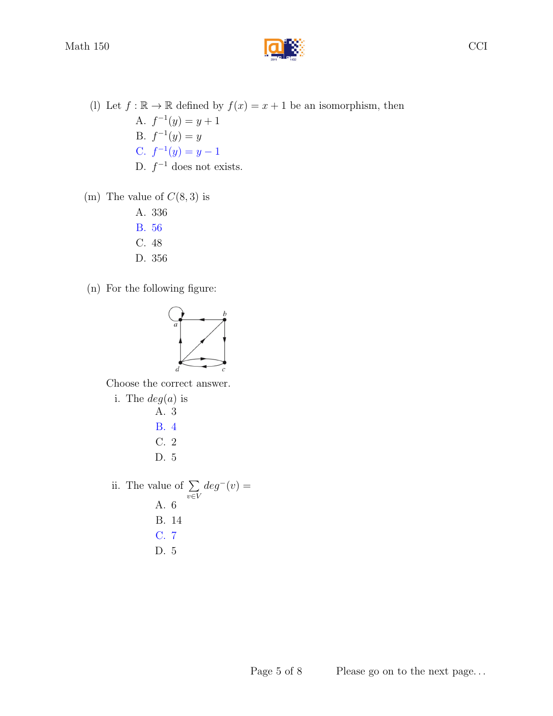Math 150  $\Box$ 



(m) The value of  $C(8,3)$  is

A. 336

- B. 56
- C. 48
- D. 356
- (n) For the following figure:



Choose the correct answer.

i. The  $deg(a)$  is A. 3 B. 4 C. 2 D. 5 ii. The value of  $\Sigma$ v∈V  $deg^-(v) =$ A. 6 B. 14 C. 7 D. 5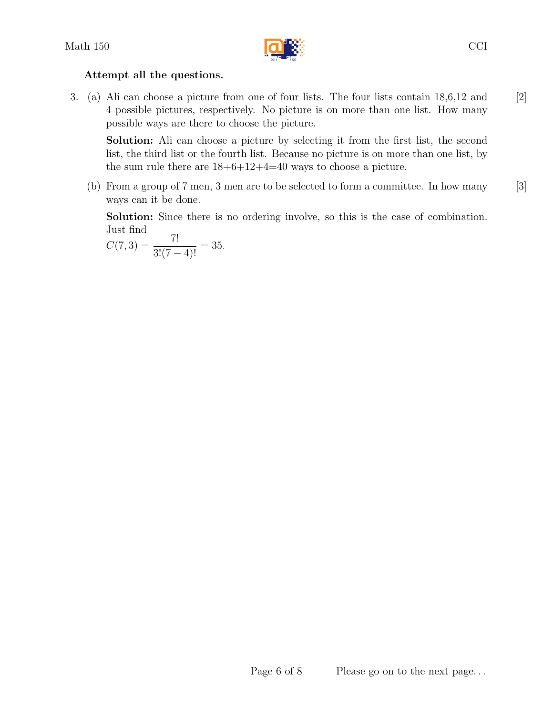

## Attempt all the questions.

3. (a) Ali can choose a picture from one of four lists. The four lists contain 18,6,12 and [2] 4 possible pictures, respectively. No picture is on more than one list. How many possible ways are there to choose the picture.

Solution: Ali can choose a picture by selecting it from the first list, the second list, the third list or the fourth list. Because no picture is on more than one list, by the sum rule there are  $18+6+12+4=40$  ways to choose a picture.

(b) From a group of 7 men, 3 men are to be selected to form a committee. In how many [3] ways can it be done.

Solution: Since there is no ordering involve, so this is the case of combination. Just find

$$
C(7,3) = \frac{7!}{3!(7-4)!} = 35.
$$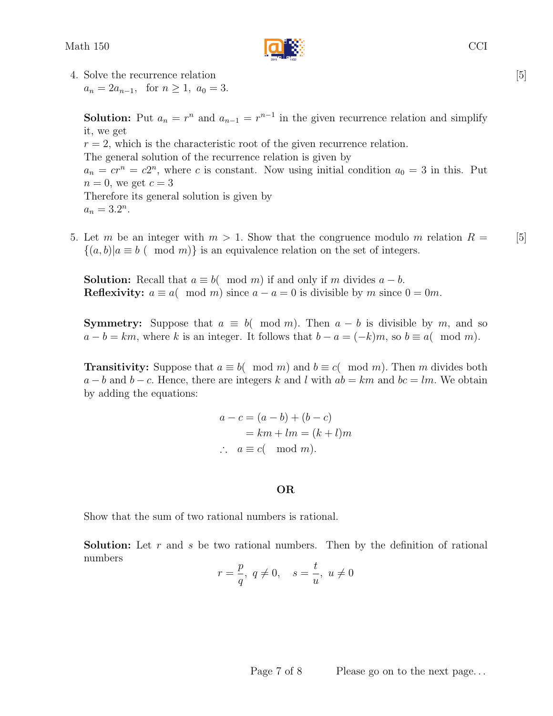

4. Solve the recurrence relation [5]  $a_n = 2a_{n-1}$ , for  $n \ge 1$ ,  $a_0 = 3$ .

**Solution:** Put  $a_n = r^n$  and  $a_{n-1} = r^{n-1}$  in the given recurrence relation and simplify it, we get  $r = 2$ , which is the characteristic root of the given recurrence relation. The general solution of the recurrence relation is given by  $a_n = cr^n = c2^n$ , where c is constant. Now using initial condition  $a_0 = 3$  in this. Put  $n = 0$ , we get  $c = 3$ Therefore its general solution is given by  $a_n = 3.2^n$ .

5. Let m be an integer with  $m > 1$ . Show that the congruence modulo m relation  $R = \begin{bmatrix} 5 \end{bmatrix}$  $\{(a, b)|a \equiv b \pmod{m}\}\$ is an equivalence relation on the set of integers.

**Solution:** Recall that  $a \equiv b \pmod{m}$  if and only if m divides  $a - b$ . **Reflexivity:**  $a \equiv a \pmod{m}$  since  $a - a = 0$  is divisible by m since  $0 = 0m$ .

**Symmetry:** Suppose that  $a \equiv b \pmod{m}$ . Then  $a - b$  is divisible by m, and so  $a - b = km$ , where k is an integer. It follows that  $b - a = (-k)m$ , so  $b \equiv a \pmod{m}$ .

**Transitivity:** Suppose that  $a \equiv b \pmod{m}$  and  $b \equiv c \pmod{m}$ . Then m divides both  $a - b$  and  $b - c$ . Hence, there are integers k and l with  $ab = km$  and  $bc = lm$ . We obtain by adding the equations:

$$
a - c = (a - b) + (b - c)
$$
  
=  $km + lm = (k + l)m$   
 $\therefore a \equiv c \pmod{m}$ .

## OR

Show that the sum of two rational numbers is rational.

**Solution:** Let r and s be two rational numbers. Then by the definition of rational numbers

$$
r=\frac{p}{q},\ q\neq 0,\quad s=\frac{t}{u},\ u\neq 0
$$